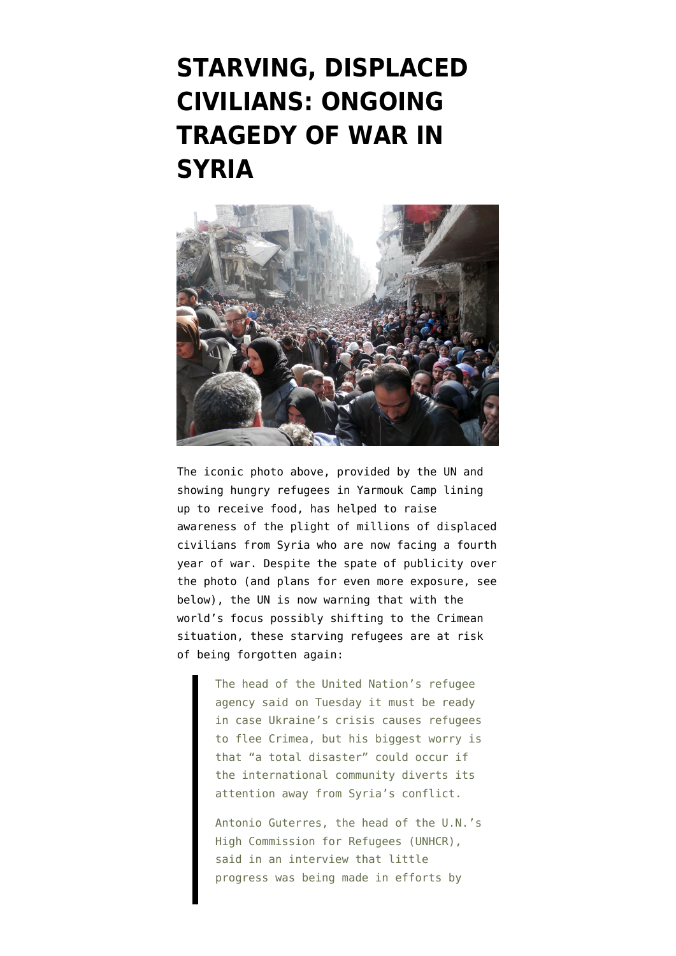## **[STARVING, DISPLACED](https://www.emptywheel.net/2014/03/12/starving-displaced-civilians-ongoing-tragedy-of-war-in-syria/) [CIVILIANS: ONGOING](https://www.emptywheel.net/2014/03/12/starving-displaced-civilians-ongoing-tragedy-of-war-in-syria/) [TRAGEDY OF WAR IN](https://www.emptywheel.net/2014/03/12/starving-displaced-civilians-ongoing-tragedy-of-war-in-syria/) [SYRIA](https://www.emptywheel.net/2014/03/12/starving-displaced-civilians-ongoing-tragedy-of-war-in-syria/)**



The iconic photo above, [provided by the UN](http://www.unrwa.org/galleries/photos/morning-yarmouk) and showing hungry refugees in Yarmouk Camp lining up to receive food, has helped to raise awareness of the plight of millions of displaced civilians from Syria who are now facing a fourth year of war. Despite the spate of publicity over the photo (and plans for even more exposure, see below), the UN is now warning that with the world's focus possibly shifting to the Crimean situation, these starving refugees [are at risk](http://www.reuters.com/article/2014/03/12/us-syria-crisis-refugees-idUSBREA2B07P20140312) [of being forgotten again:](http://www.reuters.com/article/2014/03/12/us-syria-crisis-refugees-idUSBREA2B07P20140312)

> The head of the United Nation's refugee agency said on Tuesday it must be ready in case Ukraine's crisis causes refugees to flee Crimea, but his biggest worry is that "a total disaster" could occur if the international community diverts its attention away from Syria's conflict.

> Antonio Guterres, the head of the U.N.'s High Commission for Refugees (UNHCR), said in an interview that little progress was being made in efforts by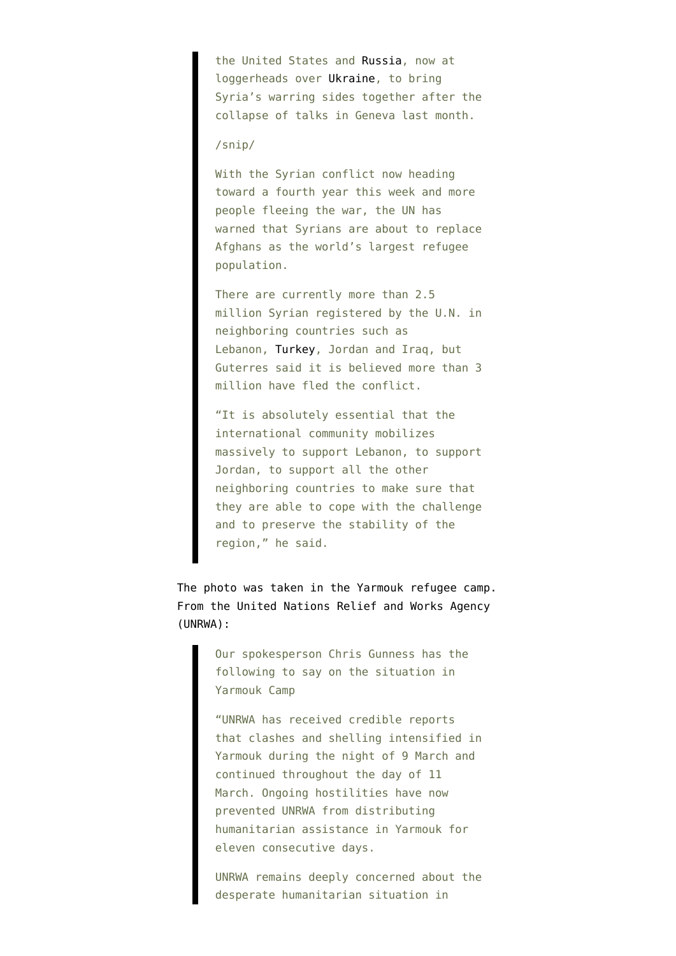the United States and [Russia](http://www.reuters.com/places/russia?lc=int_mb_1001), now at loggerheads over [Ukraine,](http://www.reuters.com/places/ukraine?lc=int_mb_1001) to bring Syria's warring sides together after the collapse of talks in Geneva last month.

## /snip/

With the Syrian conflict now heading toward a fourth year this week and more people fleeing the war, the UN has warned that Syrians are about to replace Afghans as the world's largest refugee population.

There are currently more than 2.5 million Syrian registered by the U.N. in neighboring countries such as Lebanon, [Turkey,](http://www.reuters.com/places/turkey?lc=int_mb_1001) Jordan and Iraq, but Guterres said it is believed more than 3 million have fled the conflict.

"It is absolutely essential that the international community mobilizes massively to support Lebanon, to support Jordan, to support all the other neighboring countries to make sure that they are able to cope with the challenge and to preserve the stability of the region," he said.

The photo was taken in the Yarmouk refugee camp. From the [United Nations Relief and Works Agency](http://www.unrwa.org/crisis-in-yarmouk) [\(UNRWA\):](http://www.unrwa.org/crisis-in-yarmouk)

> Our spokesperson Chris Gunness has the following to say on the situation in Yarmouk Camp

"UNRWA has received credible reports that clashes and shelling intensified in Yarmouk during the night of 9 March and continued throughout the day of 11 March. Ongoing hostilities have now prevented UNRWA from distributing humanitarian assistance in Yarmouk for eleven consecutive days.

UNRWA remains deeply concerned about the desperate humanitarian situation in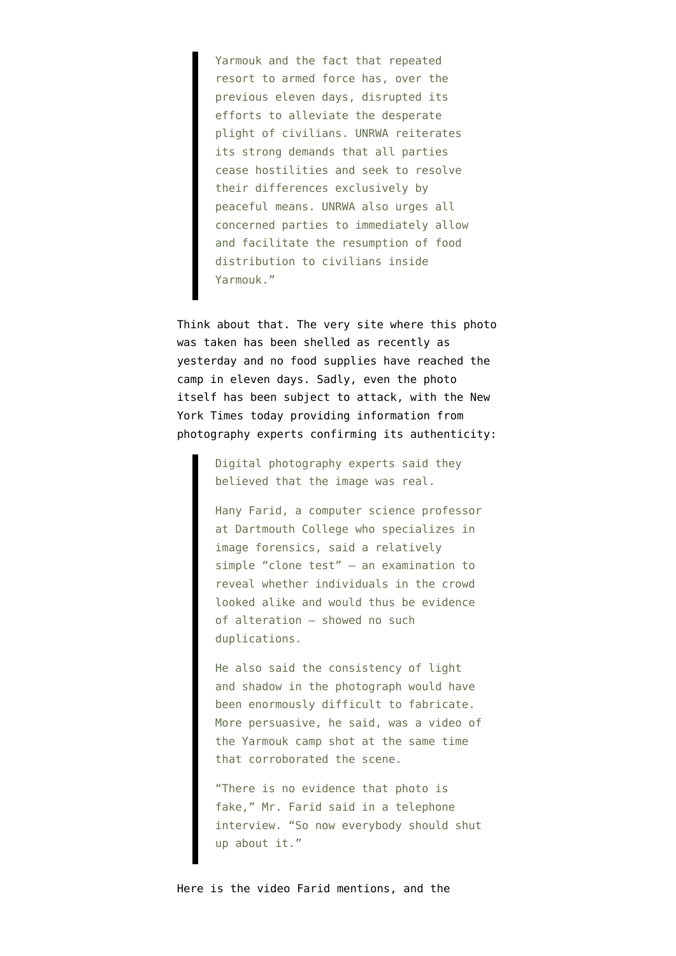Yarmouk and the fact that repeated resort to armed force has, over the previous eleven days, disrupted its efforts to alleviate the desperate plight of civilians. UNRWA reiterates its strong demands that all parties cease hostilities and seek to resolve their differences exclusively by peaceful means. UNRWA also urges all concerned parties to immediately allow and facilitate the resumption of food distribution to civilians inside Yarmouk."

Think about that. The very site where this photo was taken has been shelled as recently as yesterday and no food supplies have reached the camp in eleven days. Sadly, even the photo itself has been subject to attack, with the New York Times today providing [information from](http://www.nytimes.com/2014/03/12/world/middleeast/syria.html) [photography experts confirming its authenticity:](http://www.nytimes.com/2014/03/12/world/middleeast/syria.html)

> Digital photography experts said they believed that the image was real.

Hany Farid, a computer science professor at Dartmouth College who specializes in image forensics, said a relatively simple "clone test" — an examination to reveal whether individuals in the crowd looked alike and would thus be evidence of alteration — showed no such duplications.

He also said the consistency of light and shadow in the photograph would have been enormously difficult to fabricate. More persuasive, he said, was a video of the Yarmouk camp shot at the same time that corroborated the scene.

"There is no evidence that photo is fake," Mr. Farid said in a telephone interview. "So now everybody should shut up about it."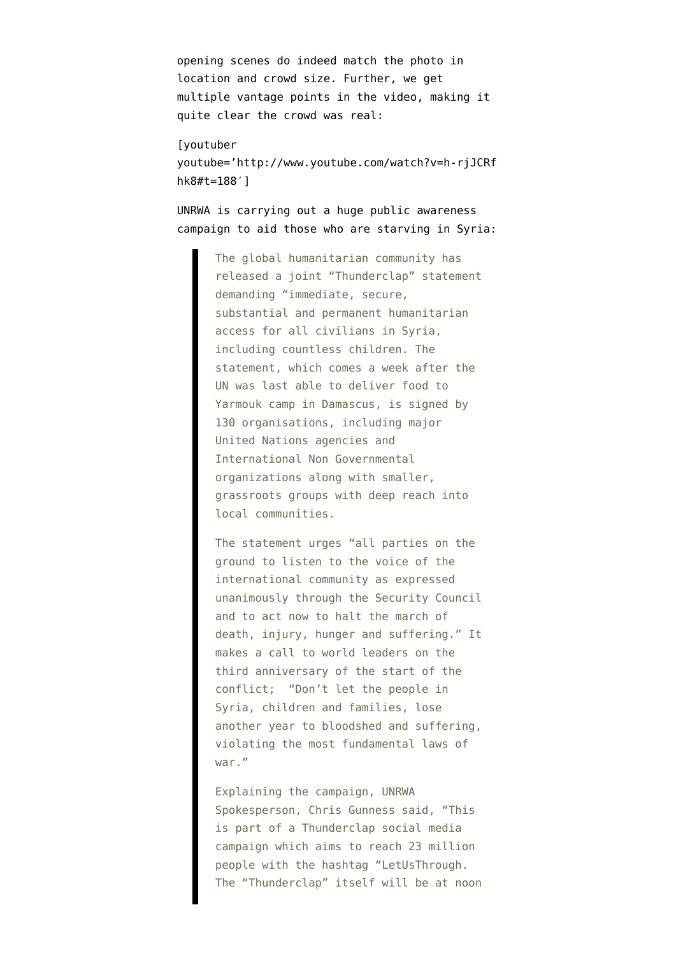opening scenes do indeed match the photo in location and crowd size. Further, we get multiple vantage points in the video, making it quite clear the crowd was real:

[youtuber youtube='http://www.youtube.com/watch?v=h-rjJCRf hk8#t=188′]

UNRWA is carrying out a [huge public awareness](http://www.unrwa.org/newsroom/press-releases/130-humanitarian-organisations-demand-access-civilians-syria) [campaign](http://www.unrwa.org/newsroom/press-releases/130-humanitarian-organisations-demand-access-civilians-syria) to aid those who are starving in Syria:

> The global humanitarian community has released a joint "Thunderclap" statement demanding "immediate, secure, substantial and permanent humanitarian access for all civilians in Syria, including countless children. The statement, which comes a week after the UN was last able to deliver food to Yarmouk camp in Damascus, is signed by 130 organisations, including major United Nations agencies and International Non Governmental organizations along with smaller, grassroots groups with deep reach into local communities.

> The statement urges "all parties on the ground to listen to the voice of the international community as expressed unanimously through the Security Council and to act now to halt the march of death, injury, hunger and suffering." It makes a call to world leaders on the third anniversary of the start of the conflict; "Don't let the people in Syria, children and families, lose another year to bloodshed and suffering, violating the most fundamental laws of war."

> Explaining the campaign, UNRWA Spokesperson, Chris Gunness said, "This is part of a Thunderclap social media campaign which aims to reach 23 million people with the hashtag "LetUsThrough. The "Thunderclap" itself will be at noon